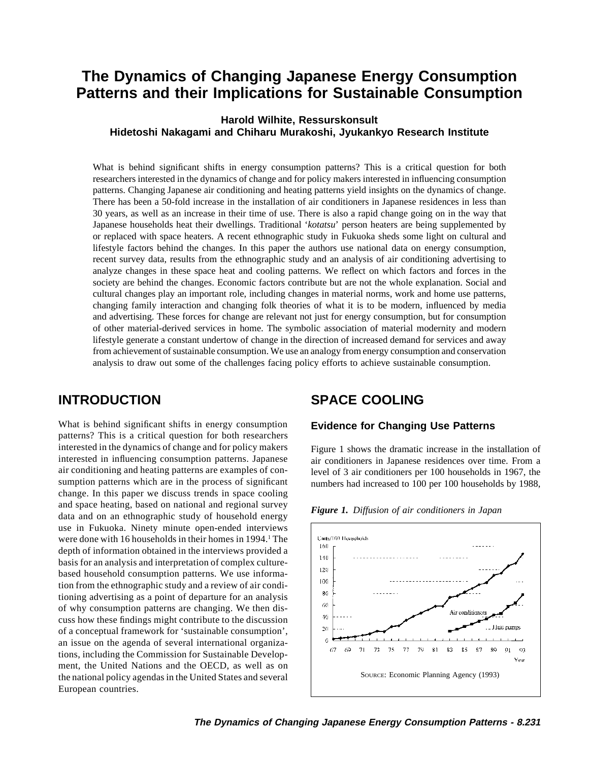# **The Dynamics of Changing Japanese Energy Consumption Patterns and their Implications for Sustainable Consumption**

## **Harold Wilhite, Ressurskonsult Hidetoshi Nakagami and Chiharu Murakoshi, Jyukankyo Research Institute**

What is behind significant shifts in energy consumption patterns? This is a critical question for both researchers interested in the dynamics of change and for policy makers interested in influencing consumption patterns. Changing Japanese air conditioning and heating patterns yield insights on the dynamics of change. There has been a 50-fold increase in the installation of air conditioners in Japanese residences in less than 30 years, as well as an increase in their time of use. There is also a rapid change going on in the way that Japanese households heat their dwellings. Traditional '*kotatsu*' person heaters are being supplemented by or replaced with space heaters. A recent ethnographic study in Fukuoka sheds some light on cultural and lifestyle factors behind the changes. In this paper the authors use national data on energy consumption, recent survey data, results from the ethnographic study and an analysis of air conditioning advertising to analyze changes in these space heat and cooling patterns. We reflect on which factors and forces in the society are behind the changes. Economic factors contribute but are not the whole explanation. Social and cultural changes play an important role, including changes in material norms, work and home use patterns, changing family interaction and changing folk theories of what it is to be modern, influenced by media and advertising. These forces for change are relevant not just for energy consumption, but for consumption of other material-derived services in home. The symbolic association of material modernity and modern lifestyle generate a constant undertow of change in the direction of increased demand for services and away from achievement of sustainable consumption. We use an analogy from energy consumption and conservation analysis to draw out some of the challenges facing policy efforts to achieve sustainable consumption.

What is behind significant shifts in energy consumption **Evidence for Changing Use Patterns** patterns? This is a critical question for both researchers interested in the dynamics of change and for policy makers Figure 1 shows the dramatic increase in the installation of interested in influencing consumption patterns. Japanese in conditioners in Japanese residences over ti air conditioning and heating patterns are examples of con- level of 3 air conditioners per 100 households in 1967, the sumption patterns which are in the process of significant numbers had increased to 100 per 100 households by 1988, change. In this paper we discuss trends in space cooling and space heating, based on national and regional survey *Figure 1. Diffusion of air conditioners in Japan* data and on an ethnographic study of household energy use in Fukuoka. Ninety minute open-ended interviews were done with 16 households in their homes in  $1994<sup>1</sup>$ . The depth of information obtained in the interviews provided a basis for an analysis and interpretation of complex culturebased household consumption patterns. We use information from the ethnographic study and a review of air conditioning advertising as a point of departure for an analysis of why consumption patterns are changing. We then discuss how these findings might contribute to the discussion of a conceptual framework for 'sustainable consumption', an issue on the agenda of several international organizations, including the Commission for Sustainable Development, the United Nations and the OECD, as well as on the national policy agendas in the United States and several Source: Economic Planning Agency (1993) European countries.

## **INTRODUCTION SPACE COOLING**

air conditioners in Japanese residences over time. From a

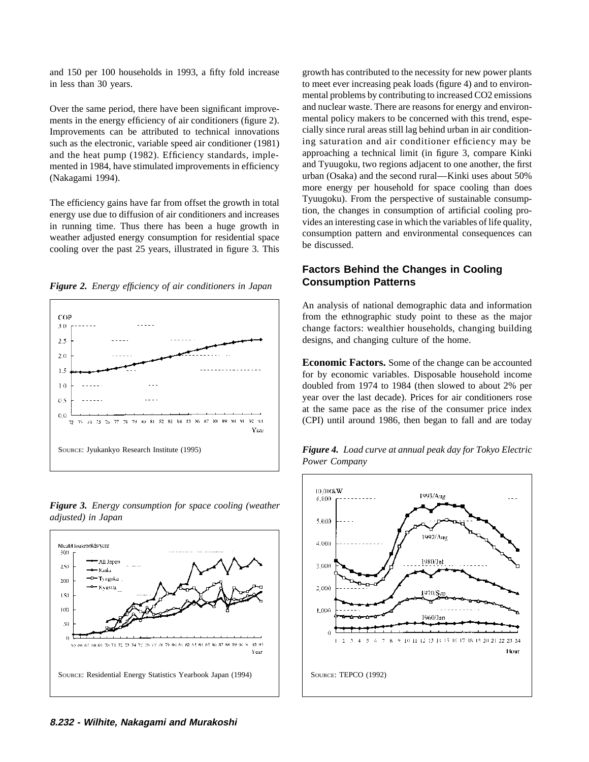and 150 per 100 households in 1993, a fifty fold increase growth has contributed to the necessity for new power plants in less than 30 years. to meet ever increasing peak loads (figure 4) and to environ-

such as the electronic, variable speed air conditioner (1981) mented in 1984, have stimulated improvements in efficiency

The efficiency gains have far from offset the growth in total<br>
energy use due to diffusion of air conditioners and increases<br>
in running time. Thus there has been a huge growth in<br>
weather adjusted energy consumption for r







*Figure 3. Energy consumption for space cooling (weather adjusted) in Japan*

mental problems by contributing to increased CO2 emissions Over the same period, there have been significant improve-<br>ments in the energy efficiency of air conditioners (figure 2) mental policy makers to be concerned with this trend, espements in the energy efficiency of air conditioners (figure 2). mental policy makers to be concerned with this trend, espe-<br>Improvements can be attributed to technical innovations cially since rural areas still lag behind u Improvements can be attributed to technical innovations cially since rural areas still lag behind urban in air condition-<br>such as the electronic, variable speed air conditioner (1981) ing saturation and air conditioner eff and the heat pump (1982). Efficiency standards, imple-<br>mented in 1984, have stimulated improvements in efficiency and Tyuugoku, two regions adjacent to one another, the first (Nakagami 1994). urban (Osaka) and the second rural—Kinki uses about 50% more energy per household for space cooling than does

# **Factors Behind the Changes in Cooling**

An analysis of national demographic data and information from the ethnographic study point to these as the major change factors: wealthier households, changing building designs, and changing culture of the home.

**Economic Factors.** Some of the change can be accounted for by economic variables. Disposable household income doubled from 1974 to 1984 (then slowed to about 2% per year over the last decade). Prices for air conditioners rose at the same pace as the rise of the consumer price index (CPI) until around 1986, then began to fall and are today



*Power Company*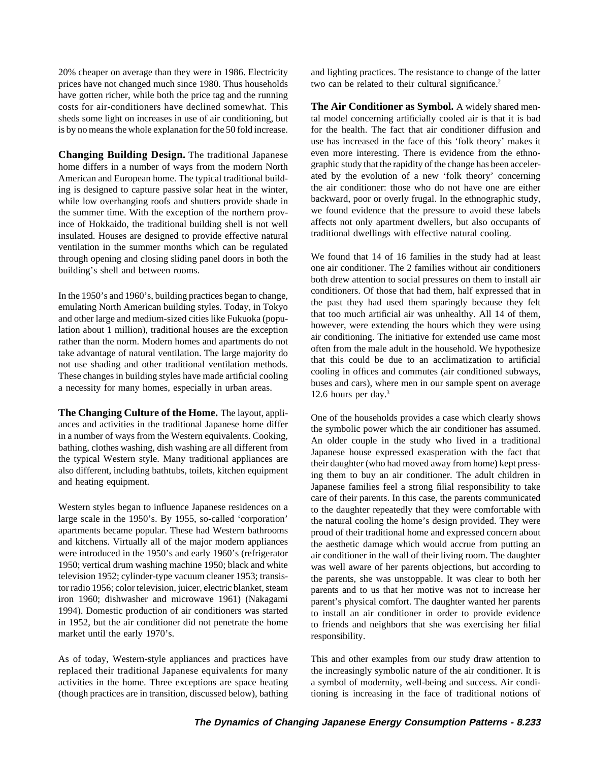prices have not changed much since 1980. Thus households two can be related to their cultural significance.<sup>2</sup> have gotten richer, while both the price tag and the running costs for air-conditioners have declined somewhat. This **The Air Conditioner as Symbol.** A widely shared mensheds some light on increases in use of air conditioning, but tal model concerning artificially cooled air is that it is bad is by no means the whole explanation for the 50 fold increase. for the health. The fact that air conditioner diffusion and

home differs in a number of ways from the modern North graphic study that the rapidity of the change has been acceler-<br>American and European home. The typical traditional build-<br>ated by the evolution of a new 'folk theory' American and European home. The typical traditional build-<br>ing is designed to capture passive solar heat in the winter the air conditioner: those who do not have one are either the air conditioner: those who do not have one are either while low overhanging roofs and shutters provide shade in backward, poor or overly frugal. In the ethnographic study, while low overhanging roofs and shutters provide shade in backward, poor or overly frugal. In the ethnographic study,<br>the summer time. With the exception of the northern prov-<br>we found evidence that the pressure to avoid t the summer time. With the exception of the northern province of Hokkaido, the traditional building shell is not well<br>insulated. Houses are designed to provide effective natural<br>insulated. Houses are designed to provide effective natural<br>insulated insulated wellings with effecti insulated. Houses are designed to provide effective natural ventilation in the summer months which can be regulated through opening and closing sliding panel doors in both the We found that 14 of 16 families in the study had at least building's shell and between rooms. one air conditioner. The 2 families without air conditioners

Western styles began to influence Japanese residences on a to the daughter repeatedly that they were comfortable with large scale in the 1950's. By 1955, so-called 'corporation' the natural cooling the home's design provid large scale in the 1950's. By 1955, so-called 'corporation' the natural cooling the home's design provided. They were apartments became popular. These had Western bathrooms round of their traditional home and expressed con apartments became popular. These had Western bathrooms proud of their traditional home and expressed concern about and kitchens. Virtually all of the major modern appliances the aesthetic damage which would accrue from put and kitchens. Virtually all of the major modern appliances the aesthetic damage which would accrue from putting an<br>were introduced in the 1950's and early 1960's (refrigerator air conditioner in the wall of their living ro were introduced in the 1950's and early 1960's (refrigerator air conditioner in the wall of their living room. The daughter<br>1950; vertical drum washing machine 1950; black and white was well aware of her parents objections television 1952; cylinder-type vacuum cleaner 1953; transis- the parents, she was unstoppable. It was clear to both her tor radio 1956; color television, juicer, electric blanket, steam parents and to us that her motive was not to increase her iron 1960; dishwasher and microwave 1961) (Nakagami parent's physical comfort. The daughter wanted iron 1960; dishwasher and microwave 1961) (Nakagami parent's physical comfort. The daughter wanted her parents 1994). Domestic production of air conditioners was started to install an air conditioner in order to provide evidence<br>to friends and neighbors that she was exercising her filial market until the early 1970's. responsibility.

As of today, Western-style appliances and practices have This and other examples from our study draw attention to replaced their traditional Japanese equivalents for many the increasingly symbolic nature of the air conditioner. It is activities in the home. Three exceptions are space heating a symbol of modernity, well-being and success. Air condi- (though practices are in transition, discussed below), bathing tioning is increasing in the face of traditional notions of

20% cheaper on average than they were in 1986. Electricity and lighting practices. The resistance to change of the latter

use has increased in the face of this 'folk theory' makes it **Changing Building Design.** The traditional Japanese even more interesting. There is evidence from the ethno-

both drew attention to social pressures on them to install air In the 1950's and 1960's, building practices began to change,<br>
emulating North American building styles. Today, in Tokyo<br>
and other large and medium-sized cities like Fukuoka (popu-<br>
lation about 1 million), traditional ho

**The Changing Culture of the Home.** The layout, appli-<br>ances and activities in the traditional Japanese home differ<br>in a number of ways from the Western equivalents. Cooking,<br>bathing, clothes washing, dish washing are all care of their parents. In this case, the parents communicated was well aware of her parents objections, but according to to friends and neighbors that she was exercising her filial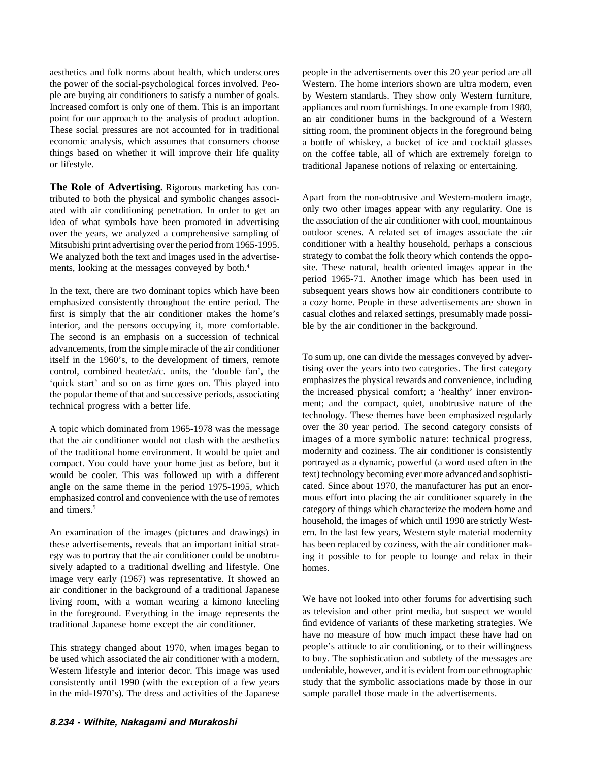aesthetics and folk norms about health, which underscores people in the advertisements over this 20 year period are all the power of the social-psychological forces involved. Peo- Western. The home interiors shown are ultra modern, even ple are buying air conditioners to satisfy a number of goals. by Western standards. They show only Western furniture, Increased comfort is only one of them. This is an important appliances and room furnishings. In one example from 1980, point for our approach to the analysis of product adoption. an air conditioner hums in the background o economic analysis, which assumes that consumers choose a bottle of whiskey, a bucket of ice and cocktail glasses things based on whether it will improve their life quality on the coffee table, all of which are extremely fo things based on whether it will improve their life quality on the coffee table, all of which are extremely foreign to or lifestyle.<br>
traditional Japanese notions of relaxing or entertaining.

**The Role of Advertising.** Rigorous marketing has contributed to both the physical and symbolic changes associ-<br>Apart from the non-obtrusive and Western-modern image, ated with air conditioning penetration. In order to get an only two other images appear with any regularity. One is idea of what symbols have been promoted in advertising the association of the air conditioner with cool, mountainous over the vears, we analyzed a comprehensive sampling of outdoor scenes. A related set of images associate over the years, we analyzed a comprehensive sampling of outdoor scenes. A related set of images associate the air<br>Mitsubishi print advertising over the period from 1965-1995. conditioner with a healthy household, perhaps a Mitsubishi print advertising over the period from 1965-1995. We analyzed both the text and images used in the advertise-<br>strategy to combat the folk theory which contends the oppoments, looking at the messages conveyed by both.<sup>4</sup> site. These natural, health oriented images appear in the

emphasized consistently throughout the entire period. The a cozy home. People in these advertisements are shown in first is simply that the air conditioner makes the home's casual clothes and relaxed settings, presumably made possiinterior, and the persons occupying it, more comfortable. ble by the air conditioner in the background. The second is an emphasis on a succession of technical advancements, from the simple miracle of the air conditioner<br>
itself in the 1960's, to the development of timers, remote<br>  $\frac{1}{2}$  To sum up, one can divide the messages conveyed by adver-<br>
control combined heater/a/c uni tising over the years into two categories. The first category<br>
"control, combined heater/a/c. units, the 'double fan', the tissue discusses the physical rewards and convenience, including<br>
"emphasizes the physical rewards emphasizes the physical rewards and convenience, including<br>the popular theme of that and successive periods, associating the increased physical comfort; a 'healthy' inner environthe popular theme of that and successive periods, associating technical progress with a better life. The technical progress with a better life. The technical progress with a better life.

that the air conditioner would not clash with the aesthetics of the traditional home environment. It would be quiet and modernity and coziness. The air conditioner is consistently compact. You could have your home just as before, but it portrayed as a dynamic, powerful (a word used often in the would be cooler. This was followed up with a different text) technology becoming ever more advanced and so would be cooler. This was followed up with a different angle on the same theme in the period 1975-1995, which cated. Since about 1970, the manufacturer has put an enoremphasized control and convenience with the use of remotes mous effort into placing the air conditioner squarely in the and timers.<sup>5</sup> category of things which characterize the modern home and

these advertisements, reveals that an important initial strat- has been replaced by coziness, with the air conditioner makegy was to portray that the air conditioner could be unobtru- ing it possible to for people to lounge and relax in their sively adapted to a traditional dwelling and lifestyle. One homes. image very early (1967) was representative. It showed an air conditioner in the background of a traditional Japanese living room, with a woman wearing a kimono kneeling We have not looked into other forums for advertising such<br>in the foreground. Everything in the image represents the as television and other print media, but suspect we wo in the foreground. Everything in the image represents the as television and other print media, but suspect we would traditional Japanese home except the air conditioner. This find evidence of variants of these marketing st traditional Japanese home except the air conditioner.

be used which associated the air conditioner with a modern, to buy. The sophistication and subtlety of the messages are Western lifestyle and interior decor. This image was used undeniable, however, and it is evident from our ethnographic consistently until 1990 (with the exception of a few years study that the symbolic associations made by those in our in the mid-1970's). The dress and activities of the Japanese sample parallel those made in the advertisements.

an air conditioner hums in the background of a Western These social pressures are not accounted for in traditional sitting room, the prominent objects in the foreground being traditional Japanese notions of relaxing or entertaining.

period 1965-71. Another image which has been used in In the text, there are two dominant topics which have been subsequent years shows how air conditioners contribute to

technology. These themes have been emphasized regularly A topic which dominated from 1965-1978 was the message over the 30 year period. The second category consists of that the air conditioner would not clash with the aesthetics images of a more symbolic nature: technical progr household, the images of which until 1990 are strictly West-An examination of the images (pictures and drawings) in ern. In the last few years, Western style material modernity

have no measure of how much impact these have had on This strategy changed about 1970, when images began to people's attitude to air conditioning, or to their willingness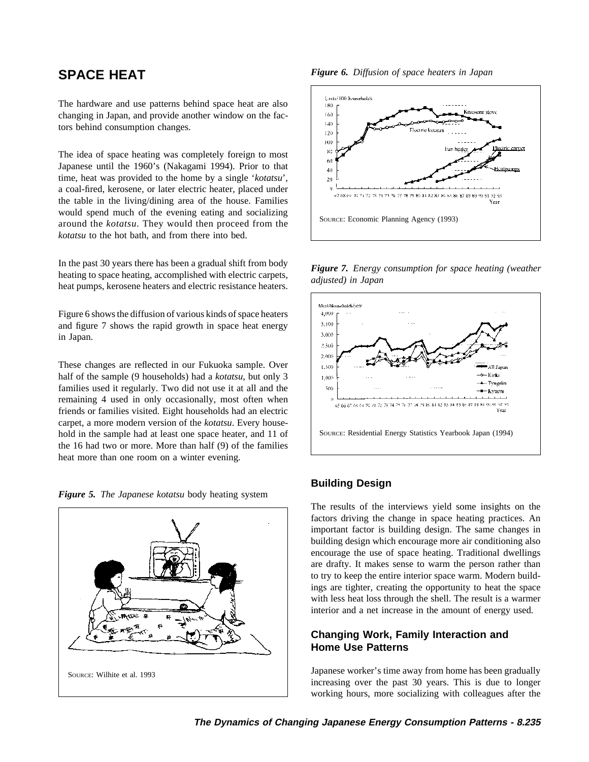The hardware and use patterns behind space heat are also changing in Japan, and provide another window on the factors behind consumption changes.

The idea of space heating was completely foreign to most Japanese until the 1960's (Nakagami 1994). Prior to that time, heat was provided to the home by a single '*kotatsu*', a coal-fired, kerosene, or later electric heater, placed under the table in the living/dining area of the house. Families would spend much of the evening eating and socializing Source: Economic Planning Agency (1993) around the *kotatsu*. They would then proceed from the *kotatsu* to the hot bath, and from there into bed.

In the past 30 years there has been a gradual shift from body<br>heating to space heating, accomplished with electric carpets,<br>heat pumps, kerosene heaters and electric resistance heaters.<br>heat pumps, kerosene heaters and ele

Figure 6 shows the diffusion of various kinds of space heaters and figure 7 shows the rapid growth in space heat energy in Japan.

These changes are reflected in our Fukuoka sample. Over half of the sample (9 households) had a *kotatsu*, but only 3 families used it regularly. Two did not use it at all and the remaining 4 used in only occasionally, most often when friends or families visited. Eight households had an electric carpet, a more modern version of the *kotatsu*. Every household in the sample had at least one space heater, and 11 of SOURCE: Residential Energy Statistics Yearbook Japan (1994) the 16 had two or more. More than half (9) of the families heat more than one room on a winter evening.

*Figure 5. The Japanese kotatsu* body heating system



**SPACE HEAT** *Figure 6. Diffusion of space heaters in Japan*





## **Building Design**

The results of the interviews yield some insights on the factors driving the change in space heating practices. An important factor is building design. The same changes in building design which encourage more air conditioning also encourage the use of space heating. Traditional dwellings are drafty. It makes sense to warm the person rather than to try to keep the entire interior space warm. Modern buildings are tighter, creating the opportunity to heat the space with less heat loss through the shell. The result is a warmer interior and a net increase in the amount of energy used.

## **Changing Work, Family Interaction and Home Use Patterns**

increasing over the past 30 years. This is due to longer working hours, more socializing with colleagues after the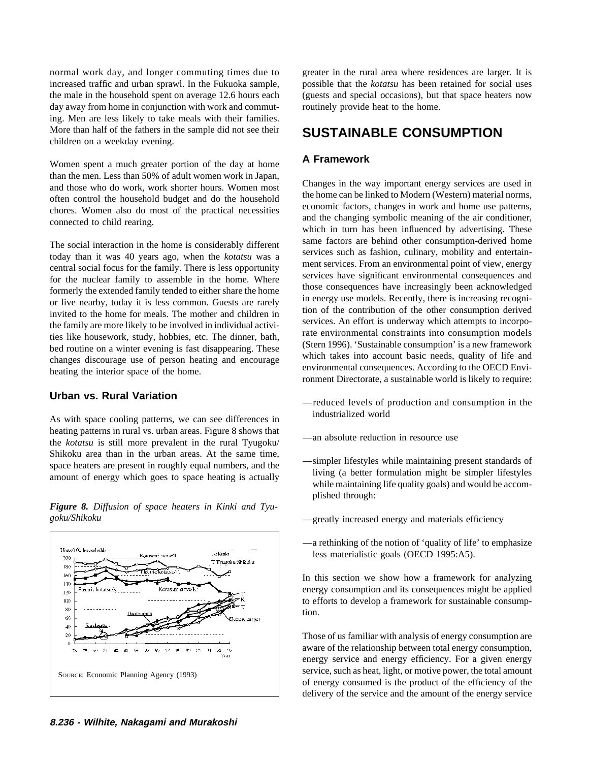increased traffic and urban sprawl. In the Fukuoka sample, possible that the *kotatsu* has been retained for social uses the male in the household spent on average 12.6 hours each (guests and special occasions), but that space heaters now day away from home in conjunction with work and commut-<br>
<u>routinely</u> provide heat to the home. ing. Men are less likely to take meals with their families. More than half of the fathers in the sample did not see their **SUSTAINABLE CONSUMPTION** children on a weekday evening.

**A Framework** Women spent a much greater portion of the day at home

Exercise and social focus for the family. There is less opportunity<br>for the nuclear family to assemble in the home. Where<br>formerly the extended family tended to either share the home<br>or live nearby, today it is less common

As with space cooling patterns, we can see differences in industrialized world heating patterns in rural vs. urban areas. Figure 8 shows that the *kotatsu* is still more prevalent in the rural Tyugoku/ —an absolute reduction in resource use Shikoku area than in the urban areas. At the same time,<br>space heaters are present in roughly equal numbers, and the<br>amount of energy which goes to space heating is actually<br>while maintaining life quality goals) and would b

*Figure 8. Diffusion of space heaters in Kinki and Tyu*goku/Shikoku — greatly increased energy and materials efficiency



normal work day, and longer commuting times due to greater in the rural area where residences are larger. It is

than the men. Less than 50% of adult women work in Japan,<br>and those who do work, work shorter hours. Women most<br>often control the household budget and do the household<br>chores. Women also do most of the practical necessitie The social interaction in the home is considerably different<br>today than it was 40 years ago, when the *kotatsu* was a<br>entries such as fashion, culinary, mobility and entertain-<br>entries such as fashion, culinary, mobility a Fraction and the family are more likely to be involved in individual activi-<br>ties like housework, study, hobbies, etc. The dinner, bath,<br>bed routine on a winter evening is fast disappearing. These<br>changes discourage use of

- **Urban vs. Rural Variation** — — — — — reduced levels of production and consumption in the
	-
	- plished through:
	-
	- —a rethinking of the notion of 'quality of life' to emphasize less materialistic goals (OECD 1995:A5).

In this section we show how a framework for analyzing energy consumption and its consequences might be applied to efforts to develop a framework for sustainable consumption.

Those of us familiar with analysis of energy consumption are aware of the relationship between total energy consumption, energy service and energy efficiency. For a given energy SOURCE: Economic Planning Agency (1993) service, such as heat, light, or motive power, the total amount of energy consumed is the product of the efficiency of the delivery of the service and the amount of the energy service

**8.236 - Wilhite, Nakagami and Murakoshi**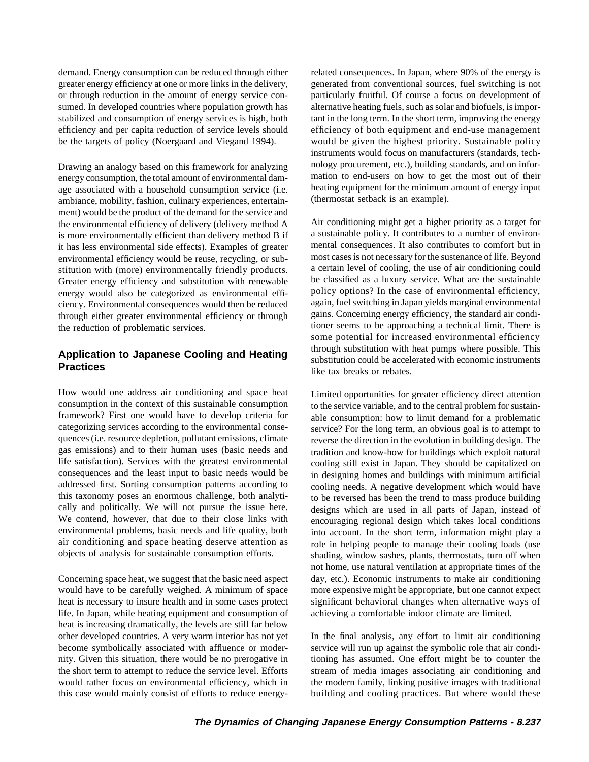demand. Energy consumption can be reduced through either related consequences. In Japan, where 90% of the energy is greater energy efficiency at one or more links in the delivery, generated from conventional sources, fuel switching is not or through reduction in the amount of energy service con- particularly fruitful. Of course a focus on development of sumed. In developed countries where population growth has alternative heating fuels, such as solar and biofuels, is imporstabilized and consumption of energy services is high, both tant in the long term. In the short term, improving the energy efficiency and per capita reduction of service levels should efficiency of both equipment and end-use management be the targets of policy (Noergaard and Viegand 1994). would be given the highest priority. Sustainable policy

energy consumption, the total amount of environmental dam-<br>age associated with a household consumption service (i.e. a heating equipment for the minimum amount of energy input age associated with a household consumption service (i.e. heating equipment for the minimum ambiance mobility fashion culinary experiences entertain-<br>(thermostat setback is an example). ambiance, mobility, fashion, culinary experiences, entertainment) would be the product of the demand for the service and the environmental efficiency of delivery (delivery method A Air conditioning might get a higher priority as a target for is more environmentally efficient than delivery method B if a sustainable policy. It contributes to a number of environ-<br>it has less environmental side effects). Examples of greater mental consequences. It also contributes it has less environmental side effects). Examples of greater environmental efficiency would be reuse, recycling, or sub-<br>stitution with (more) environmentally friendly products.<br>a certain level of cooling, the use of air conditioning could stitution with (more) environmentally friendly products. a certain level of cooling, the use of air conditioning could<br>Greater energy efficiency and substitution with renewable be classified as a luxury service. What are t Greater energy efficiency and substitution with renewable be classified as a luxury service. What are the sustainable energy would also be categorized as environmental effi-<br>policy options? In the case of environmental eff energy would also be categorized as environmental effi-<br>ciency policy options? In the case of environmental efficiency,<br>again, fuel switching in Japan yields marginal environmental<br>again, fuel switching in Japan yields mar ciency. Environmental consequences would then be reduced again, fuel switching in Japan yields marginal environmental through either greater environmental efficiency or through the reduction of problematic services. The reduction of problematic services.

How would one address air conditioning and space heat Limited opportunities for greater efficiency direct attention consumption in the context of this sustainable consumption to the service variable and to the central prob framework? First one would have to develop criteria for able consumption: how to limit demand for a problematic categorizing services according to the environmental conse-<br>service? For the long term, an obvious goal is to quences (i.e. resource depletion, pollutant emissions, climate reverse the direction in the evolution in building design. The gas emissions) and to their human uses (basic needs and tradition and know-how for buildings which exploit natural life satisfaction). Services with the greatest environmental cooling still exist in Japan. They should be capitalized on addressed first. Sorting consumption patterns according to cooling needs. A negative development which would have this taxonomy poses an enormous challenge, both analyti-<br>to be reversed has been the trend to mass produce b this taxonomy poses an enormous challenge, both analyti-<br>cally and politically. We will not pursue the issue here.<br>designs which are used in all parts of Ianan instead of cally and politically. We will not pursue the issue here. designs which are used in all parts of Japan, instead of We contend, however, that due to their close links with encouraging regional design which takes local condi We contend, however, that due to their close links with encouraging regional design which takes local conditions environmental problems, basic needs and life quality, both into account. In the short term information might environmental problems, basic needs and life quality, both into account. In the short term, information might play a<br>air conditioning and space heating deserve attention as include the helping people to manage their coolin air conditioning and space heating deserve attention as role in helping people to manage their cooling loads (use<br>objects of analysis for sustainable consumption efforts.

Concerning space heat, we suggest that the basic need aspect day, etc.). Economic instruments to make air conditioning would have to be carefully weighed. A minimum of space more expensive might be appropriate, but one cannot expect heat is necessary to insure health and in some cases protect significant behavioral changes when alternative ways of life. In Japan, while heating equipment and consumption of achieving a comfortable indoor climate are limited. heat is increasing dramatically, the levels are still far below other developed countries. A very warm interior has not yet In the final analysis, any effort to limit air conditioning become symbolically associated with affluence or moder- service will run up against the symbolic role that air condinity. Given this situation, there would be no prerogative in tioning has assumed. One effort might be to counter the the short term to attempt to reduce the service level. Efforts stream of media images associating air conditioning and would rather focus on environmental efficiency, which in the modern family, linking positive images with traditional this case would mainly consist of efforts to reduce energy- building and cooling practices. But where would these

instruments would focus on manufacturers (standards, tech-Drawing an analogy based on this framework for analyzing nology procurement, etc.), building standards, and on infor-<br>energy consumption, the total amount of environmental dam-<br>mation to end-users on how to get the most ou

some potential for increased environmental efficiency Application to Japanese Cooling and Heating<br>**Practices** substitution could be accelerated with economic instruments<br>like tax breaks or rebates.

> to the service variable, and to the central problem for sustainservice? For the long term, an obvious goal is to attempt to in designing homes and buildings with minimum artificial shading, window sashes, plants, thermostats, turn off when not home, use natural ventilation at appropriate times of the